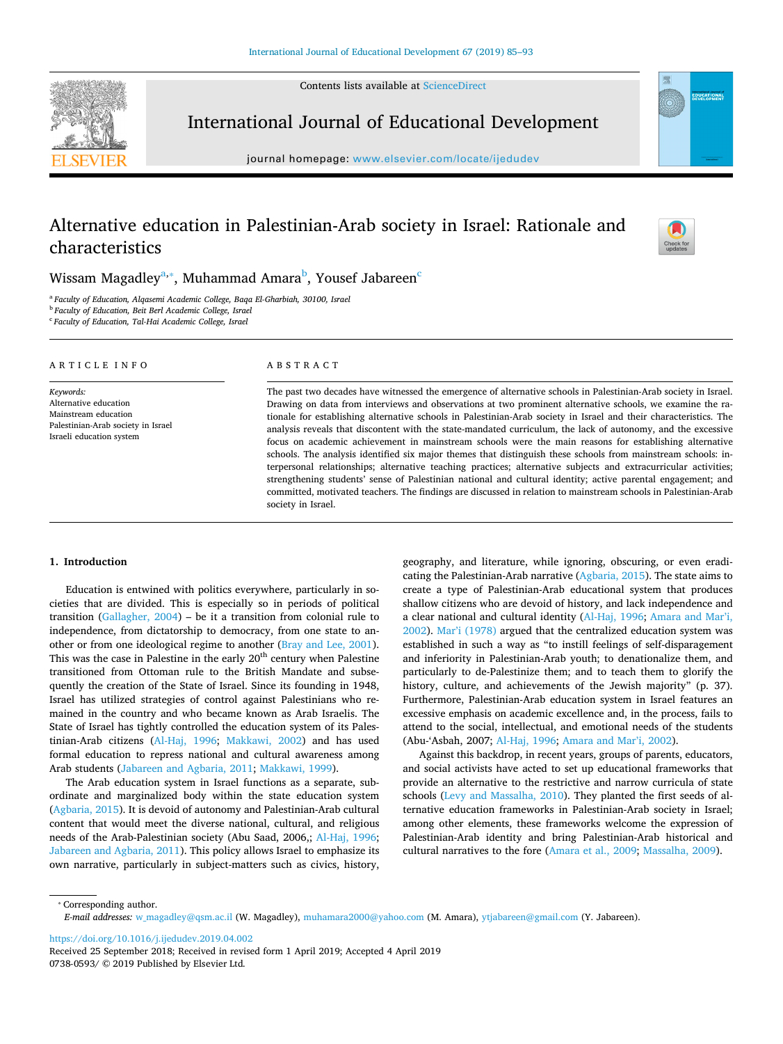Contents lists available at [ScienceDirect](http://www.sciencedirect.com/science/journal/07380593)



International Journal of Educational Development

journal homepage: [www.elsevier.com/locate/ijedudev](https://www.elsevier.com/locate/ijedudev)

# Alternative education in Palestinian-Arab society in Israel: Rationale and characteristics



**EDUCATIONA** 

Wiss[a](#page-0-0)m Magadley $^{\mathrm{a},*}$ , Muhammad Amara $^{\mathrm{b}}$  $^{\mathrm{b}}$  $^{\mathrm{b}}$ , Yousef Jabareen $^{\mathrm{c}}$ 

<span id="page-0-0"></span><sup>a</sup> *Faculty of Education, Alqasemi Academic College, Baqa El-Gharbiah, 30100, Israel*

<span id="page-0-2"></span><sup>b</sup> *Faculty of Education, Beit Berl Academic College, Israel*

<span id="page-0-3"></span><sup>c</sup> *Faculty of Education, Tal-Hai Academic College, Israel*

## ARTICLE INFO

*Keywords:* Alternative education Mainstream education Palestinian-Arab society in Israel Israeli education system

#### ABSTRACT

The past two decades have witnessed the emergence of alternative schools in Palestinian-Arab society in Israel. Drawing on data from interviews and observations at two prominent alternative schools, we examine the rationale for establishing alternative schools in Palestinian-Arab society in Israel and their characteristics. The analysis reveals that discontent with the state-mandated curriculum, the lack of autonomy, and the excessive focus on academic achievement in mainstream schools were the main reasons for establishing alternative schools. The analysis identified six major themes that distinguish these schools from mainstream schools: interpersonal relationships; alternative teaching practices; alternative subjects and extracurricular activities; strengthening students' sense of Palestinian national and cultural identity; active parental engagement; and committed, motivated teachers. The findings are discussed in relation to mainstream schools in Palestinian-Arab society in Israel.

# **1. Introduction**

Education is entwined with politics everywhere, particularly in societies that are divided. This is especially so in periods of political transition ([Gallagher, 2004](#page-8-0)) – be it a transition from colonial rule to independence, from dictatorship to democracy, from one state to another or from one ideological regime to another [\(Bray and Lee, 2001](#page-7-0)). This was the case in Palestine in the early 20<sup>th</sup> century when Palestine transitioned from Ottoman rule to the British Mandate and subsequently the creation of the State of Israel. Since its founding in 1948, Israel has utilized strategies of control against Palestinians who remained in the country and who became known as Arab Israelis. The State of Israel has tightly controlled the education system of its Palestinian-Arab citizens [\(Al-Haj, 1996](#page-7-1); [Makkawi, 2002\)](#page-8-1) and has used formal education to repress national and cultural awareness among Arab students [\(Jabareen and Agbaria, 2011;](#page-8-2) [Makkawi, 1999\)](#page-8-3).

The Arab education system in Israel functions as a separate, subordinate and marginalized body within the state education system ([Agbaria, 2015\)](#page-7-2). It is devoid of autonomy and Palestinian-Arab cultural content that would meet the diverse national, cultural, and religious needs of the Arab-Palestinian society (Abu Saad, 2006,; [Al-Haj, 1996](#page-7-1); [Jabareen and Agbaria, 2011](#page-8-2)). This policy allows Israel to emphasize its own narrative, particularly in subject-matters such as civics, history,

geography, and literature, while ignoring, obscuring, or even eradicating the Palestinian-Arab narrative [\(Agbaria, 2015\)](#page-7-2). The state aims to create a type of Palestinian-Arab educational system that produces shallow citizens who are devoid of history, and lack independence and a clear national and cultural identity [\(Al-Haj, 1996;](#page-7-1) [Amara and Mar'i,](#page-7-3) [2002\)](#page-7-3). [Mar'i \(1978\)](#page-8-4) argued that the centralized education system was established in such a way as "to instill feelings of self-disparagement and inferiority in Palestinian-Arab youth; to denationalize them, and particularly to de-Palestinize them; and to teach them to glorify the history, culture, and achievements of the Jewish majority" (p. 37). Furthermore, Palestinian-Arab education system in Israel features an excessive emphasis on academic excellence and, in the process, fails to attend to the social, intellectual, and emotional needs of the students (Abu-'Asbah, 2007; [Al-Haj, 1996](#page-7-1); [Amara and Mar'i, 2002](#page-7-3)).

Against this backdrop, in recent years, groups of parents, educators, and social activists have acted to set up educational frameworks that provide an alternative to the restrictive and narrow curricula of state schools [\(Levy and Massalha, 2010\)](#page-8-5). They planted the first seeds of alternative education frameworks in Palestinian-Arab society in Israel; among other elements, these frameworks welcome the expression of Palestinian-Arab identity and bring Palestinian-Arab historical and cultural narratives to the fore ([Amara et al., 2009;](#page-7-4) [Massalha, 2009\)](#page-8-6).

<span id="page-0-1"></span>⁎ Corresponding author.

<https://doi.org/10.1016/j.ijedudev.2019.04.002>

*E-mail addresses:* [w\\_magadley@qsm.ac.il](mailto:w_magadley@qsm.ac.il) (W. Magadley), [muhamara2000@yahoo.com](mailto:muhamara2000@yahoo.com) (M. Amara), [ytjabareen@gmail.com](mailto:ytjabareen@gmail.com) (Y. Jabareen).

Received 25 September 2018; Received in revised form 1 April 2019; Accepted 4 April 2019 0738-0593/ © 2019 Published by Elsevier Ltd.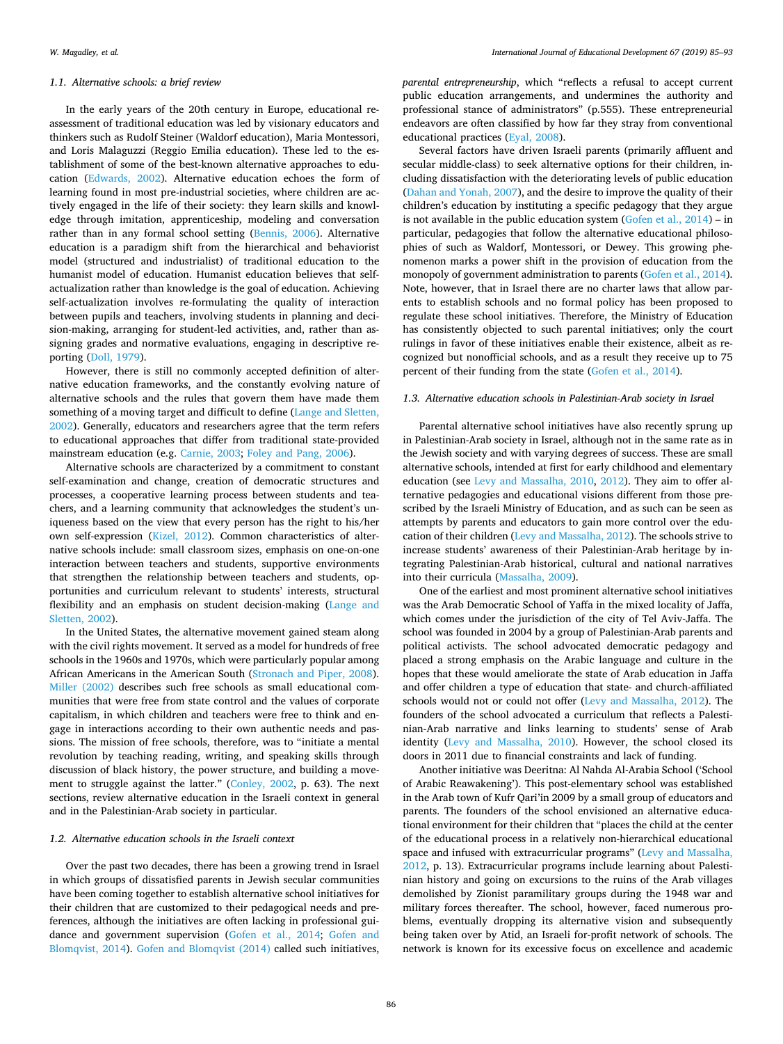#### *1.1. Alternative schools: a brief review*

In the early years of the 20th century in Europe, educational reassessment of traditional education was led by visionary educators and thinkers such as Rudolf Steiner (Waldorf education), Maria Montessori, and Loris Malaguzzi (Reggio Emilia education). These led to the establishment of some of the best-known alternative approaches to education [\(Edwards, 2002](#page-7-5)). Alternative education echoes the form of learning found in most pre-industrial societies, where children are actively engaged in the life of their society: they learn skills and knowledge through imitation, apprenticeship, modeling and conversation rather than in any formal school setting [\(Bennis, 2006](#page-7-6)). Alternative education is a paradigm shift from the hierarchical and behaviorist model (structured and industrialist) of traditional education to the humanist model of education. Humanist education believes that selfactualization rather than knowledge is the goal of education. Achieving self-actualization involves re-formulating the quality of interaction between pupils and teachers, involving students in planning and decision-making, arranging for student-led activities, and, rather than assigning grades and normative evaluations, engaging in descriptive reporting ([Doll, 1979](#page-7-7)).

However, there is still no commonly accepted definition of alternative education frameworks, and the constantly evolving nature of alternative schools and the rules that govern them have made them something of a moving target and difficult to define ([Lange and Sletten,](#page-8-7) [2002\)](#page-8-7). Generally, educators and researchers agree that the term refers to educational approaches that differ from traditional state-provided mainstream education (e.g. [Carnie, 2003](#page-7-8); [Foley and Pang, 2006\)](#page-8-8).

Alternative schools are characterized by a commitment to constant self-examination and change, creation of democratic structures and processes, a cooperative learning process between students and teachers, and a learning community that acknowledges the student's uniqueness based on the view that every person has the right to his/her own self-expression [\(Kizel, 2012](#page-8-9)). Common characteristics of alternative schools include: small classroom sizes, emphasis on one-on-one interaction between teachers and students, supportive environments that strengthen the relationship between teachers and students, opportunities and curriculum relevant to students' interests, structural flexibility and an emphasis on student decision-making ([Lange and](#page-8-7) [Sletten, 2002\)](#page-8-7).

In the United States, the alternative movement gained steam along with the civil rights movement. It served as a model for hundreds of free schools in the 1960s and 1970s, which were particularly popular among African Americans in the American South [\(Stronach and Piper, 2008](#page-8-10)). [Miller \(2002\)](#page-8-11) describes such free schools as small educational communities that were free from state control and the values of corporate capitalism, in which children and teachers were free to think and engage in interactions according to their own authentic needs and passions. The mission of free schools, therefore, was to "initiate a mental revolution by teaching reading, writing, and speaking skills through discussion of black history, the power structure, and building a movement to struggle against the latter." [\(Conley, 2002](#page-7-9), p. 63). The next sections, review alternative education in the Israeli context in general and in the Palestinian-Arab society in particular.

## *1.2. Alternative education schools in the Israeli context*

Over the past two decades, there has been a growing trend in Israel in which groups of dissatisfied parents in Jewish secular communities have been coming together to establish alternative school initiatives for their children that are customized to their pedagogical needs and preferences, although the initiatives are often lacking in professional guidance and government supervision [\(Gofen et al., 2014;](#page-8-12) [Gofen and](#page-8-13) [Blomqvist, 2014\)](#page-8-13). [Gofen and Blomqvist \(2014\)](#page-8-13) called such initiatives,

*parental entrepreneurship*, which "reflects a refusal to accept current public education arrangements, and undermines the authority and professional stance of administrators" (p.555). These entrepreneurial endeavors are often classified by how far they stray from conventional educational practices [\(Eyal, 2008](#page-7-10)).

Several factors have driven Israeli parents (primarily affluent and secular middle-class) to seek alternative options for their children, including dissatisfaction with the deteriorating levels of public education ([Dahan and Yonah, 2007\)](#page-7-11), and the desire to improve the quality of their children's education by instituting a specific pedagogy that they argue is not available in the public education system (Gofen et al.,  $2014$ ) – in particular, pedagogies that follow the alternative educational philosophies of such as Waldorf, Montessori, or Dewey. This growing phenomenon marks a power shift in the provision of education from the monopoly of government administration to parents [\(Gofen et al., 2014](#page-8-12)). Note, however, that in Israel there are no charter laws that allow parents to establish schools and no formal policy has been proposed to regulate these school initiatives. Therefore, the Ministry of Education has consistently objected to such parental initiatives; only the court rulings in favor of these initiatives enable their existence, albeit as recognized but nonofficial schools, and as a result they receive up to 75 percent of their funding from the state [\(Gofen et al., 2014](#page-8-12)).

# *1.3. Alternative education schools in Palestinian-Arab society in Israel*

Parental alternative school initiatives have also recently sprung up in Palestinian-Arab society in Israel, although not in the same rate as in the Jewish society and with varying degrees of success. These are small alternative schools, intended at first for early childhood and elementary education (see [Levy and Massalha, 2010,](#page-8-5) [2012\)](#page-8-14). They aim to offer alternative pedagogies and educational visions different from those prescribed by the Israeli Ministry of Education, and as such can be seen as attempts by parents and educators to gain more control over the education of their children ([Levy and Massalha, 2012](#page-8-14)). The schools strive to increase students' awareness of their Palestinian-Arab heritage by integrating Palestinian-Arab historical, cultural and national narratives into their curricula ([Massalha, 2009](#page-8-6)).

One of the earliest and most prominent alternative school initiatives was the Arab Democratic School of Yaffa in the mixed locality of Jaffa, which comes under the jurisdiction of the city of Tel Aviv-Jaffa. The school was founded in 2004 by a group of Palestinian-Arab parents and political activists. The school advocated democratic pedagogy and placed a strong emphasis on the Arabic language and culture in the hopes that these would ameliorate the state of Arab education in Jaffa and offer children a type of education that state- and church-affiliated schools would not or could not offer ([Levy and Massalha, 2012](#page-8-14)). The founders of the school advocated a curriculum that reflects a Palestinian-Arab narrative and links learning to students' sense of Arab identity ([Levy and Massalha, 2010\)](#page-8-5). However, the school closed its doors in 2011 due to financial constraints and lack of funding.

Another initiative was Deeritna: Al Nahda Al-Arabia School ('School of Arabic Reawakening'). This post-elementary school was established in the Arab town of Kufr Qari'in 2009 by a small group of educators and parents. The founders of the school envisioned an alternative educational environment for their children that "places the child at the center of the educational process in a relatively non-hierarchical educational space and infused with extracurricular programs" [\(Levy and Massalha,](#page-8-14) [2012,](#page-8-14) p. 13). Extracurricular programs include learning about Palestinian history and going on excursions to the ruins of the Arab villages demolished by Zionist paramilitary groups during the 1948 war and military forces thereafter. The school, however, faced numerous problems, eventually dropping its alternative vision and subsequently being taken over by Atid, an Israeli for-profit network of schools. The network is known for its excessive focus on excellence and academic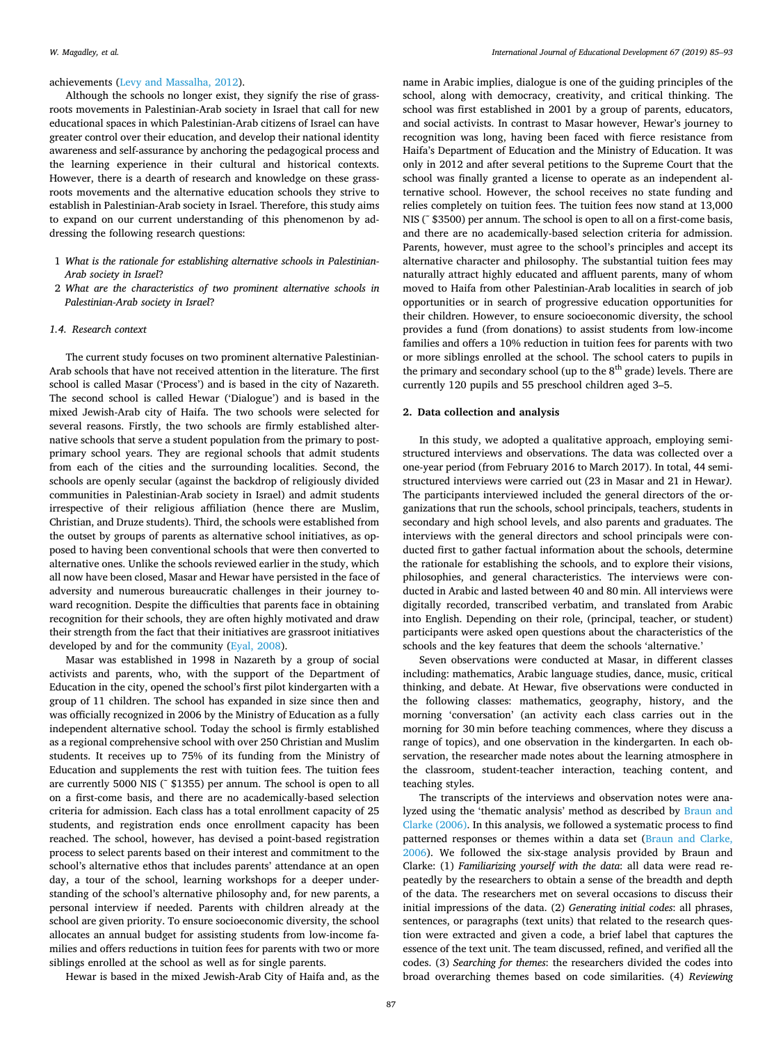### achievements [\(Levy and Massalha, 2012](#page-8-14)).

Although the schools no longer exist, they signify the rise of grassroots movements in Palestinian-Arab society in Israel that call for new educational spaces in which Palestinian-Arab citizens of Israel can have greater control over their education, and develop their national identity awareness and self-assurance by anchoring the pedagogical process and the learning experience in their cultural and historical contexts. However, there is a dearth of research and knowledge on these grassroots movements and the alternative education schools they strive to establish in Palestinian-Arab society in Israel. Therefore, this study aims to expand on our current understanding of this phenomenon by addressing the following research questions:

- 1 *What is the rationale for establishing alternative schools in Palestinian-Arab society in Israel*?
- 2 *What are the characteristics of two prominent alternative schools in Palestinian-Arab society in Israel*?

#### *1.4. Research context*

The current study focuses on two prominent alternative Palestinian-Arab schools that have not received attention in the literature. The first school is called Masar ('Process') and is based in the city of Nazareth. The second school is called Hewar ('Dialogue') and is based in the mixed Jewish-Arab city of Haifa. The two schools were selected for several reasons. Firstly, the two schools are firmly established alternative schools that serve a student population from the primary to postprimary school years. They are regional schools that admit students from each of the cities and the surrounding localities. Second, the schools are openly secular (against the backdrop of religiously divided communities in Palestinian-Arab society in Israel) and admit students irrespective of their religious affiliation (hence there are Muslim, Christian, and Druze students). Third, the schools were established from the outset by groups of parents as alternative school initiatives, as opposed to having been conventional schools that were then converted to alternative ones. Unlike the schools reviewed earlier in the study, which all now have been closed, Masar and Hewar have persisted in the face of adversity and numerous bureaucratic challenges in their journey toward recognition. Despite the difficulties that parents face in obtaining recognition for their schools, they are often highly motivated and draw their strength from the fact that their initiatives are grassroot initiatives developed by and for the community ([Eyal, 2008\)](#page-7-10).

Masar was established in 1998 in Nazareth by a group of social activists and parents, who, with the support of the Department of Education in the city, opened the school's first pilot kindergarten with a group of 11 children. The school has expanded in size since then and was officially recognized in 2006 by the Ministry of Education as a fully independent alternative school. Today the school is firmly established as a regional comprehensive school with over 250 Christian and Muslim students. It receives up to 75% of its funding from the Ministry of Education and supplements the rest with tuition fees. The tuition fees are currently 5000 NIS (˜ \$1355) per annum. The school is open to all on a first-come basis, and there are no academically-based selection criteria for admission. Each class has a total enrollment capacity of 25 students, and registration ends once enrollment capacity has been reached. The school, however, has devised a point-based registration process to select parents based on their interest and commitment to the school's alternative ethos that includes parents' attendance at an open day, a tour of the school, learning workshops for a deeper understanding of the school's alternative philosophy and, for new parents, a personal interview if needed. Parents with children already at the school are given priority. To ensure socioeconomic diversity, the school allocates an annual budget for assisting students from low-income families and offers reductions in tuition fees for parents with two or more siblings enrolled at the school as well as for single parents.

Hewar is based in the mixed Jewish-Arab City of Haifa and, as the

name in Arabic implies, dialogue is one of the guiding principles of the school, along with democracy, creativity, and critical thinking. The school was first established in 2001 by a group of parents, educators, and social activists. In contrast to Masar however, Hewar's journey to recognition was long, having been faced with fierce resistance from Haifa's Department of Education and the Ministry of Education. It was only in 2012 and after several petitions to the Supreme Court that the school was finally granted a license to operate as an independent alternative school. However, the school receives no state funding and relies completely on tuition fees. The tuition fees now stand at 13,000 NIS (˜ \$3500) per annum. The school is open to all on a first-come basis, and there are no academically-based selection criteria for admission. Parents, however, must agree to the school's principles and accept its alternative character and philosophy. The substantial tuition fees may naturally attract highly educated and affluent parents, many of whom moved to Haifa from other Palestinian-Arab localities in search of job opportunities or in search of progressive education opportunities for their children. However, to ensure socioeconomic diversity, the school provides a fund (from donations) to assist students from low-income families and offers a 10% reduction in tuition fees for parents with two or more siblings enrolled at the school. The school caters to pupils in the primary and secondary school (up to the  $8<sup>th</sup>$  grade) levels. There are currently 120 pupils and 55 preschool children aged 3–5.

# **2. Data collection and analysis**

In this study, we adopted a qualitative approach, employing semistructured interviews and observations. The data was collected over a one-year period (from February 2016 to March 2017). In total, 44 semistructured interviews were carried out (23 in Masar and 21 in Hewar*).* The participants interviewed included the general directors of the organizations that run the schools, school principals, teachers, students in secondary and high school levels, and also parents and graduates. The interviews with the general directors and school principals were conducted first to gather factual information about the schools, determine the rationale for establishing the schools, and to explore their visions, philosophies, and general characteristics. The interviews were conducted in Arabic and lasted between 40 and 80 min. All interviews were digitally recorded, transcribed verbatim, and translated from Arabic into English. Depending on their role, (principal, teacher, or student) participants were asked open questions about the characteristics of the schools and the key features that deem the schools 'alternative.'

Seven observations were conducted at Masar, in different classes including: mathematics, Arabic language studies, dance, music, critical thinking, and debate. At Hewar, five observations were conducted in the following classes: mathematics, geography, history, and the morning 'conversation' (an activity each class carries out in the morning for 30 min before teaching commences, where they discuss a range of topics), and one observation in the kindergarten. In each observation, the researcher made notes about the learning atmosphere in the classroom, student-teacher interaction, teaching content, and teaching styles.

The transcripts of the interviews and observation notes were analyzed using the 'thematic analysis' method as described by [Braun and](#page-7-12) [Clarke \(2006\)](#page-7-12). In this analysis, we followed a systematic process to find patterned responses or themes within a data set [\(Braun and Clarke,](#page-7-12) [2006\)](#page-7-12). We followed the six-stage analysis provided by Braun and Clarke: (1) *Familiarizing yourself with the data*: all data were read repeatedly by the researchers to obtain a sense of the breadth and depth of the data. The researchers met on several occasions to discuss their initial impressions of the data. (2) *Generating initial codes*: all phrases, sentences, or paragraphs (text units) that related to the research question were extracted and given a code, a brief label that captures the essence of the text unit. The team discussed, refined, and verified all the codes. (3) *Searching for themes*: the researchers divided the codes into broad overarching themes based on code similarities. (4) *Reviewing*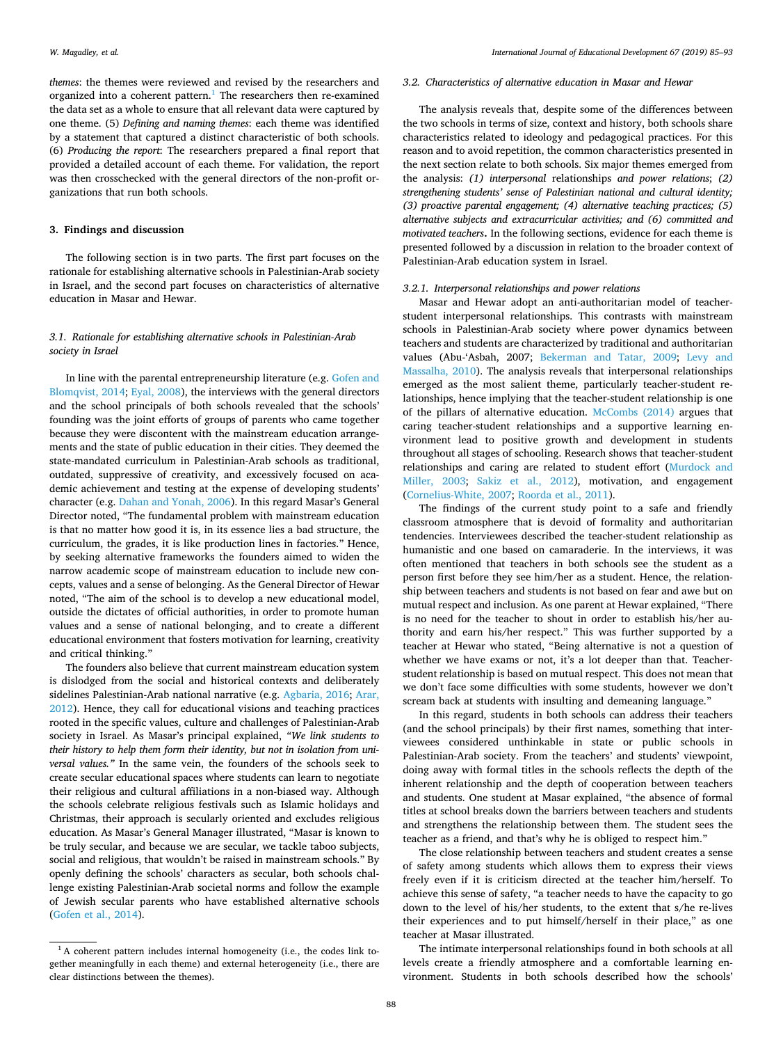*themes*: the themes were reviewed and revised by the researchers and organized into a coherent pattern.<sup>[1](#page-3-0)</sup> The researchers then re-examined the data set as a whole to ensure that all relevant data were captured by one theme. (5) *Defining and naming themes*: each theme was identified by a statement that captured a distinct characteristic of both schools. (6) *Producing the report*: The researchers prepared a final report that provided a detailed account of each theme. For validation, the report was then crosschecked with the general directors of the non-profit organizations that run both schools.

## **3. Findings and discussion**

The following section is in two parts. The first part focuses on the rationale for establishing alternative schools in Palestinian-Arab society in Israel, and the second part focuses on characteristics of alternative education in Masar and Hewar.

# *3.1. Rationale for establishing alternative schools in Palestinian-Arab society in Israel*

In line with the parental entrepreneurship literature (e.g. [Gofen and](#page-8-13) [Blomqvist, 2014](#page-8-13); [Eyal, 2008\)](#page-7-10), the interviews with the general directors and the school principals of both schools revealed that the schools' founding was the joint efforts of groups of parents who came together because they were discontent with the mainstream education arrangements and the state of public education in their cities. They deemed the state-mandated curriculum in Palestinian-Arab schools as traditional, outdated, suppressive of creativity, and excessively focused on academic achievement and testing at the expense of developing students' character (e.g. [Dahan and Yonah, 2006\)](#page-7-13). In this regard Masar's General Director noted, "The fundamental problem with mainstream education is that no matter how good it is, in its essence lies a bad structure, the curriculum, the grades, it is like production lines in factories." Hence, by seeking alternative frameworks the founders aimed to widen the narrow academic scope of mainstream education to include new concepts, values and a sense of belonging. As the General Director of Hewar noted, "The aim of the school is to develop a new educational model, outside the dictates of official authorities, in order to promote human values and a sense of national belonging, and to create a different educational environment that fosters motivation for learning, creativity and critical thinking."

The founders also believe that current mainstream education system is dislodged from the social and historical contexts and deliberately sidelines Palestinian-Arab national narrative (e.g. [Agbaria, 2016;](#page-7-14) [Arar,](#page-7-15) [2012\)](#page-7-15). Hence, they call for educational visions and teaching practices rooted in the specific values, culture and challenges of Palestinian-Arab society in Israel. As Masar's principal explained, *"We link students to their history to help them form their identity, but not in isolation from universal values."* In the same vein, the founders of the schools seek to create secular educational spaces where students can learn to negotiate their religious and cultural affiliations in a non-biased way. Although the schools celebrate religious festivals such as Islamic holidays and Christmas, their approach is secularly oriented and excludes religious education. As Masar's General Manager illustrated, "Masar is known to be truly secular, and because we are secular, we tackle taboo subjects, social and religious, that wouldn't be raised in mainstream schools." By openly defining the schools' characters as secular, both schools challenge existing Palestinian-Arab societal norms and follow the example of Jewish secular parents who have established alternative schools ([Gofen et al., 2014\)](#page-8-12).

#### *3.2. Characteristics of alternative education in Masar and Hewar*

The analysis reveals that, despite some of the differences between the two schools in terms of size, context and history, both schools share characteristics related to ideology and pedagogical practices. For this reason and to avoid repetition, the common characteristics presented in the next section relate to both schools. Six major themes emerged from the analysis: *(1) interpersonal* relationships *and power relations*; *(2) strengthening students' sense of Palestinian national and cultural identity; (3) proactive parental engagement; (4) alternative teaching practices; (5) alternative subjects and extracurricular activities; and (6) committed and motivated teachers***.** In the following sections, evidence for each theme is presented followed by a discussion in relation to the broader context of Palestinian-Arab education system in Israel.

## *3.2.1. Interpersonal relationships and power relations*

Masar and Hewar adopt an anti-authoritarian model of teacherstudent interpersonal relationships. This contrasts with mainstream schools in Palestinian-Arab society where power dynamics between teachers and students are characterized by traditional and authoritarian values (Abu-'Asbah, 2007; [Bekerman and Tatar, 2009;](#page-7-16) [Levy and](#page-8-5) [Massalha, 2010](#page-8-5)). The analysis reveals that interpersonal relationships emerged as the most salient theme, particularly teacher-student relationships, hence implying that the teacher-student relationship is one of the pillars of alternative education. [McCombs \(2014\)](#page-8-15) argues that caring teacher-student relationships and a supportive learning environment lead to positive growth and development in students throughout all stages of schooling. Research shows that teacher-student relationships and caring are related to student effort [\(Murdock and](#page-8-16) [Miller, 2003](#page-8-16); [Sakiz et al., 2012\)](#page-8-17), motivation, and engagement ([Cornelius-White, 2007](#page-7-17); [Roorda et al., 2011](#page-8-18)).

The findings of the current study point to a safe and friendly classroom atmosphere that is devoid of formality and authoritarian tendencies. Interviewees described the teacher-student relationship as humanistic and one based on camaraderie. In the interviews, it was often mentioned that teachers in both schools see the student as a person first before they see him/her as a student. Hence, the relationship between teachers and students is not based on fear and awe but on mutual respect and inclusion. As one parent at Hewar explained, "There is no need for the teacher to shout in order to establish his/her authority and earn his/her respect." This was further supported by a teacher at Hewar who stated, "Being alternative is not a question of whether we have exams or not, it's a lot deeper than that. Teacherstudent relationship is based on mutual respect. This does not mean that we don't face some difficulties with some students, however we don't scream back at students with insulting and demeaning language."

In this regard, students in both schools can address their teachers (and the school principals) by their first names, something that interviewees considered unthinkable in state or public schools in Palestinian-Arab society. From the teachers' and students' viewpoint, doing away with formal titles in the schools reflects the depth of the inherent relationship and the depth of cooperation between teachers and students. One student at Masar explained, "the absence of formal titles at school breaks down the barriers between teachers and students and strengthens the relationship between them. The student sees the teacher as a friend, and that's why he is obliged to respect him."

The close relationship between teachers and student creates a sense of safety among students which allows them to express their views freely even if it is criticism directed at the teacher him/herself. To achieve this sense of safety, "a teacher needs to have the capacity to go down to the level of his/her students, to the extent that s/he re-lives their experiences and to put himself/herself in their place," as one teacher at Masar illustrated.

The intimate interpersonal relationships found in both schools at all levels create a friendly atmosphere and a comfortable learning environment. Students in both schools described how the schools'

<span id="page-3-0"></span> $1$ A coherent pattern includes internal homogeneity (i.e., the codes link together meaningfully in each theme) and external heterogeneity (i.e., there are clear distinctions between the themes).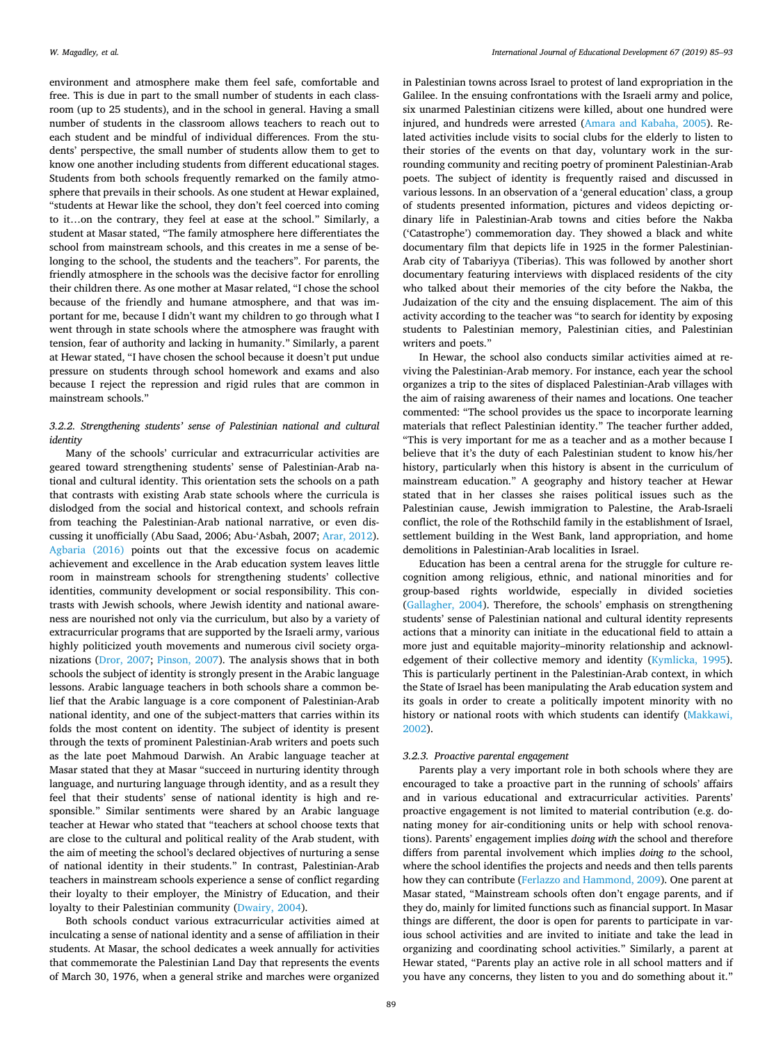environment and atmosphere make them feel safe, comfortable and free. This is due in part to the small number of students in each classroom (up to 25 students), and in the school in general. Having a small number of students in the classroom allows teachers to reach out to each student and be mindful of individual differences. From the students' perspective, the small number of students allow them to get to know one another including students from different educational stages. Students from both schools frequently remarked on the family atmosphere that prevails in their schools. As one student at Hewar explained, "students at Hewar like the school, they don't feel coerced into coming to it…on the contrary, they feel at ease at the school." Similarly, a student at Masar stated, "The family atmosphere here differentiates the school from mainstream schools, and this creates in me a sense of belonging to the school, the students and the teachers". For parents, the friendly atmosphere in the schools was the decisive factor for enrolling their children there. As one mother at Masar related, "I chose the school because of the friendly and humane atmosphere, and that was important for me, because I didn't want my children to go through what I went through in state schools where the atmosphere was fraught with tension, fear of authority and lacking in humanity." Similarly, a parent at Hewar stated, "I have chosen the school because it doesn't put undue pressure on students through school homework and exams and also because I reject the repression and rigid rules that are common in mainstream schools."

# *3.2.2. Strengthening students' sense of Palestinian national and cultural identity*

Many of the schools' curricular and extracurricular activities are geared toward strengthening students' sense of Palestinian-Arab national and cultural identity. This orientation sets the schools on a path that contrasts with existing Arab state schools where the curricula is dislodged from the social and historical context, and schools refrain from teaching the Palestinian-Arab national narrative, or even discussing it unofficially (Abu Saad, 2006; Abu-'Asbah, 2007; [Arar, 2012](#page-7-15)). [Agbaria \(2016\)](#page-7-14) points out that the excessive focus on academic achievement and excellence in the Arab education system leaves little room in mainstream schools for strengthening students' collective identities, community development or social responsibility. This contrasts with Jewish schools, where Jewish identity and national awareness are nourished not only via the curriculum, but also by a variety of extracurricular programs that are supported by the Israeli army, various highly politicized youth movements and numerous civil society organizations [\(Dror, 2007;](#page-7-18) [Pinson, 2007](#page-8-19)). The analysis shows that in both schools the subject of identity is strongly present in the Arabic language lessons. Arabic language teachers in both schools share a common belief that the Arabic language is a core component of Palestinian-Arab national identity, and one of the subject-matters that carries within its folds the most content on identity. The subject of identity is present through the texts of prominent Palestinian-Arab writers and poets such as the late poet Mahmoud Darwish. An Arabic language teacher at Masar stated that they at Masar "succeed in nurturing identity through language, and nurturing language through identity, and as a result they feel that their students' sense of national identity is high and responsible." Similar sentiments were shared by an Arabic language teacher at Hewar who stated that "teachers at school choose texts that are close to the cultural and political reality of the Arab student, with the aim of meeting the school's declared objectives of nurturing a sense of national identity in their students." In contrast, Palestinian-Arab teachers in mainstream schools experience a sense of conflict regarding their loyalty to their employer, the Ministry of Education, and their loyalty to their Palestinian community ([Dwairy, 2004](#page-7-19)).

Both schools conduct various extracurricular activities aimed at inculcating a sense of national identity and a sense of affiliation in their students. At Masar, the school dedicates a week annually for activities that commemorate the Palestinian Land Day that represents the events of March 30, 1976, when a general strike and marches were organized

in Palestinian towns across Israel to protest of land expropriation in the Galilee. In the ensuing confrontations with the Israeli army and police, six unarmed Palestinian citizens were killed, about one hundred were injured, and hundreds were arrested ([Amara and Kabaha, 2005\)](#page-7-20). Related activities include visits to social clubs for the elderly to listen to their stories of the events on that day, voluntary work in the surrounding community and reciting poetry of prominent Palestinian-Arab poets. The subject of identity is frequently raised and discussed in various lessons. In an observation of a 'general education' class, a group of students presented information, pictures and videos depicting ordinary life in Palestinian-Arab towns and cities before the Nakba ('Catastrophe') commemoration day. They showed a black and white documentary film that depicts life in 1925 in the former Palestinian-Arab city of Tabariyya (Tiberias). This was followed by another short documentary featuring interviews with displaced residents of the city who talked about their memories of the city before the Nakba, the Judaization of the city and the ensuing displacement. The aim of this activity according to the teacher was "to search for identity by exposing students to Palestinian memory, Palestinian cities, and Palestinian writers and poets."

In Hewar, the school also conducts similar activities aimed at reviving the Palestinian-Arab memory. For instance, each year the school organizes a trip to the sites of displaced Palestinian-Arab villages with the aim of raising awareness of their names and locations. One teacher commented: "The school provides us the space to incorporate learning materials that reflect Palestinian identity." The teacher further added, "This is very important for me as a teacher and as a mother because I believe that it's the duty of each Palestinian student to know his/her history, particularly when this history is absent in the curriculum of mainstream education." A geography and history teacher at Hewar stated that in her classes she raises political issues such as the Palestinian cause, Jewish immigration to Palestine, the Arab-Israeli conflict, the role of the Rothschild family in the establishment of Israel, settlement building in the West Bank, land appropriation, and home demolitions in Palestinian-Arab localities in Israel.

Education has been a central arena for the struggle for culture recognition among religious, ethnic, and national minorities and for group-based rights worldwide, especially in divided societies ([Gallagher, 2004](#page-8-0)). Therefore, the schools' emphasis on strengthening students' sense of Palestinian national and cultural identity represents actions that a minority can initiate in the educational field to attain a more just and equitable majority–minority relationship and acknowledgement of their collective memory and identity ([Kymlicka, 1995](#page-8-20)). This is particularly pertinent in the Palestinian-Arab context, in which the State of Israel has been manipulating the Arab education system and its goals in order to create a politically impotent minority with no history or national roots with which students can identify [\(Makkawi,](#page-8-1) [2002\)](#page-8-1).

#### *3.2.3. Proactive parental engagement*

Parents play a very important role in both schools where they are encouraged to take a proactive part in the running of schools' affairs and in various educational and extracurricular activities. Parents' proactive engagement is not limited to material contribution (e.g. donating money for air-conditioning units or help with school renovations). Parents' engagement implies *doing with* the school and therefore differs from parental involvement which implies *doing to* the school, where the school identifies the projects and needs and then tells parents how they can contribute ([Ferlazzo and Hammond, 2009\)](#page-7-21). One parent at Masar stated, "Mainstream schools often don't engage parents, and if they do, mainly for limited functions such as financial support. In Masar things are different, the door is open for parents to participate in various school activities and are invited to initiate and take the lead in organizing and coordinating school activities." Similarly, a parent at Hewar stated, "Parents play an active role in all school matters and if you have any concerns, they listen to you and do something about it."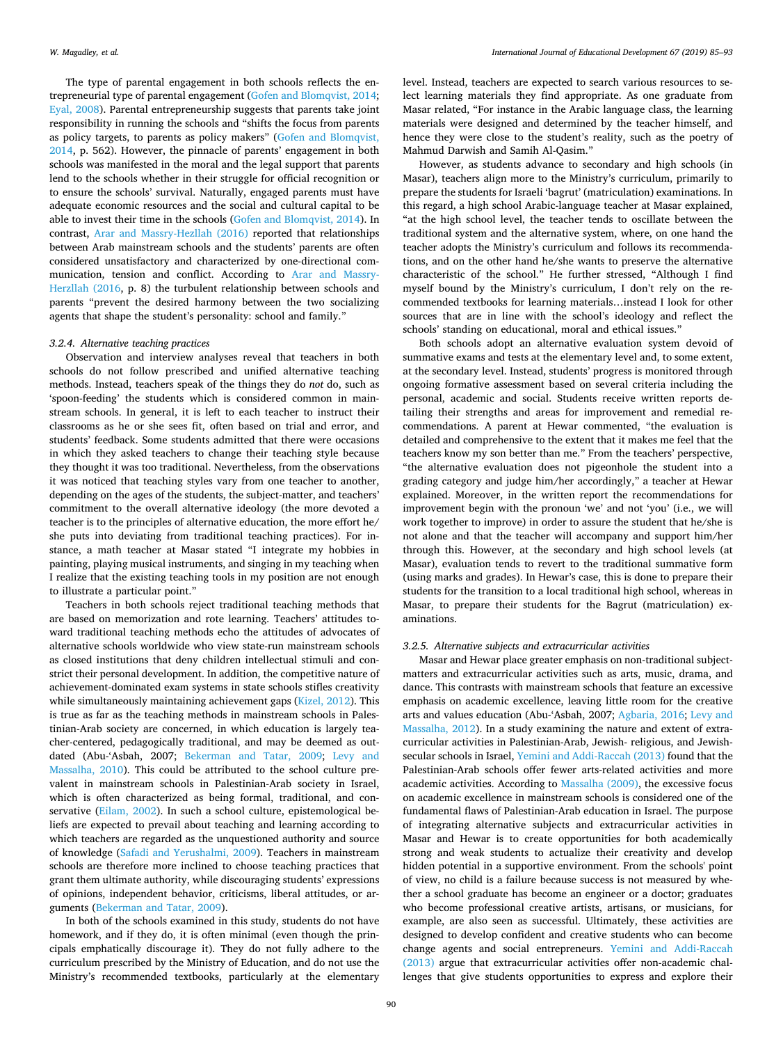The type of parental engagement in both schools reflects the entrepreneurial type of parental engagement ([Gofen and Blomqvist, 2014](#page-8-13); [Eyal, 2008\)](#page-7-10). Parental entrepreneurship suggests that parents take joint responsibility in running the schools and "shifts the focus from parents as policy targets, to parents as policy makers" [\(Gofen and Blomqvist,](#page-8-13) [2014,](#page-8-13) p. 562). However, the pinnacle of parents' engagement in both schools was manifested in the moral and the legal support that parents lend to the schools whether in their struggle for official recognition or to ensure the schools' survival. Naturally, engaged parents must have adequate economic resources and the social and cultural capital to be able to invest their time in the schools ([Gofen and Blomqvist, 2014](#page-8-13)). In contrast, [Arar and Massry-Hezllah \(2016\)](#page-7-22) reported that relationships between Arab mainstream schools and the students' parents are often considered unsatisfactory and characterized by one-directional communication, tension and conflict. According to [Arar and Massry-](#page-7-22)[Herzllah \(2016,](#page-7-22) p. 8) the turbulent relationship between schools and parents "prevent the desired harmony between the two socializing agents that shape the student's personality: school and family."

## *3.2.4. Alternative teaching practices*

Observation and interview analyses reveal that teachers in both schools do not follow prescribed and unified alternative teaching methods. Instead, teachers speak of the things they do *not* do, such as 'spoon-feeding' the students which is considered common in mainstream schools. In general, it is left to each teacher to instruct their classrooms as he or she sees fit, often based on trial and error, and students' feedback. Some students admitted that there were occasions in which they asked teachers to change their teaching style because they thought it was too traditional. Nevertheless, from the observations it was noticed that teaching styles vary from one teacher to another, depending on the ages of the students, the subject-matter, and teachers' commitment to the overall alternative ideology (the more devoted a teacher is to the principles of alternative education, the more effort he/ she puts into deviating from traditional teaching practices). For instance, a math teacher at Masar stated "I integrate my hobbies in painting, playing musical instruments, and singing in my teaching when I realize that the existing teaching tools in my position are not enough to illustrate a particular point."

Teachers in both schools reject traditional teaching methods that are based on memorization and rote learning. Teachers' attitudes toward traditional teaching methods echo the attitudes of advocates of alternative schools worldwide who view state-run mainstream schools as closed institutions that deny children intellectual stimuli and constrict their personal development. In addition, the competitive nature of achievement-dominated exam systems in state schools stifles creativity while simultaneously maintaining achievement gaps ([Kizel, 2012](#page-8-9)). This is true as far as the teaching methods in mainstream schools in Palestinian-Arab society are concerned, in which education is largely teacher-centered, pedagogically traditional, and may be deemed as outdated (Abu-'Asbah, 2007; [Bekerman and Tatar, 2009](#page-7-16); [Levy and](#page-8-5) [Massalha, 2010\)](#page-8-5). This could be attributed to the school culture prevalent in mainstream schools in Palestinian-Arab society in Israel, which is often characterized as being formal, traditional, and con-servative [\(Eilam, 2002\)](#page-7-23). In such a school culture, epistemological beliefs are expected to prevail about teaching and learning according to which teachers are regarded as the unquestioned authority and source of knowledge ([Safadi and Yerushalmi, 2009](#page-8-21)). Teachers in mainstream schools are therefore more inclined to choose teaching practices that grant them ultimate authority, while discouraging students' expressions of opinions, independent behavior, criticisms, liberal attitudes, or arguments [\(Bekerman and Tatar, 2009](#page-7-16)).

In both of the schools examined in this study, students do not have homework, and if they do, it is often minimal (even though the principals emphatically discourage it). They do not fully adhere to the curriculum prescribed by the Ministry of Education, and do not use the Ministry's recommended textbooks, particularly at the elementary

level. Instead, teachers are expected to search various resources to select learning materials they find appropriate. As one graduate from Masar related, "For instance in the Arabic language class, the learning materials were designed and determined by the teacher himself, and hence they were close to the student's reality, such as the poetry of Mahmud Darwish and Samih Al-Qasim."

However, as students advance to secondary and high schools (in Masar), teachers align more to the Ministry's curriculum, primarily to prepare the students for Israeli 'bagrut' (matriculation) examinations. In this regard, a high school Arabic-language teacher at Masar explained, "at the high school level, the teacher tends to oscillate between the traditional system and the alternative system, where, on one hand the teacher adopts the Ministry's curriculum and follows its recommendations, and on the other hand he/she wants to preserve the alternative characteristic of the school." He further stressed, "Although I find myself bound by the Ministry's curriculum, I don't rely on the recommended textbooks for learning materials…instead I look for other sources that are in line with the school's ideology and reflect the schools' standing on educational, moral and ethical issues."

Both schools adopt an alternative evaluation system devoid of summative exams and tests at the elementary level and, to some extent, at the secondary level. Instead, students' progress is monitored through ongoing formative assessment based on several criteria including the personal, academic and social. Students receive written reports detailing their strengths and areas for improvement and remedial recommendations. A parent at Hewar commented, "the evaluation is detailed and comprehensive to the extent that it makes me feel that the teachers know my son better than me." From the teachers' perspective, "the alternative evaluation does not pigeonhole the student into a grading category and judge him/her accordingly," a teacher at Hewar explained. Moreover, in the written report the recommendations for improvement begin with the pronoun 'we' and not 'you' (i.e., we will work together to improve) in order to assure the student that he/she is not alone and that the teacher will accompany and support him/her through this. However, at the secondary and high school levels (at Masar), evaluation tends to revert to the traditional summative form (using marks and grades). In Hewar's case, this is done to prepare their students for the transition to a local traditional high school, whereas in Masar, to prepare their students for the Bagrut (matriculation) examinations.

#### *3.2.5. Alternative subjects and extracurricular activities*

Masar and Hewar place greater emphasis on non-traditional subjectmatters and extracurricular activities such as arts, music, drama, and dance. This contrasts with mainstream schools that feature an excessive emphasis on academic excellence, leaving little room for the creative arts and values education (Abu-'Asbah, 2007; [Agbaria, 2016;](#page-7-14) [Levy and](#page-8-14) [Massalha, 2012\)](#page-8-14). In a study examining the nature and extent of extracurricular activities in Palestinian-Arab, Jewish- religious, and Jewishsecular schools in Israel, [Yemini and Addi-Raccah \(2013\)](#page-8-22) found that the Palestinian-Arab schools offer fewer arts-related activities and more academic activities. According to [Massalha \(2009\),](#page-8-6) the excessive focus on academic excellence in mainstream schools is considered one of the fundamental flaws of Palestinian-Arab education in Israel. The purpose of integrating alternative subjects and extracurricular activities in Masar and Hewar is to create opportunities for both academically strong and weak students to actualize their creativity and develop hidden potential in a supportive environment. From the schools' point of view, no child is a failure because success is not measured by whether a school graduate has become an engineer or a doctor; graduates who become professional creative artists, artisans, or musicians, for example, are also seen as successful. Ultimately, these activities are designed to develop confident and creative students who can become change agents and social entrepreneurs. [Yemini and Addi-Raccah](#page-8-22) [\(2013\)](#page-8-22) argue that extracurricular activities offer non-academic challenges that give students opportunities to express and explore their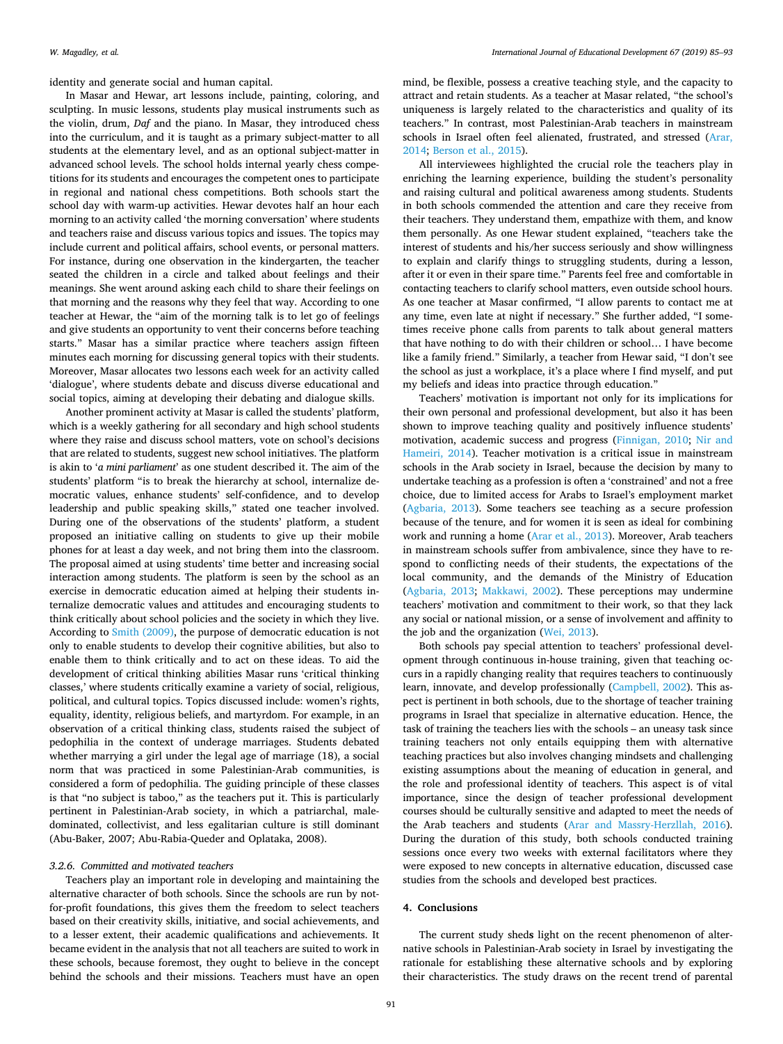identity and generate social and human capital.

In Masar and Hewar, art lessons include, painting, coloring, and sculpting. In music lessons, students play musical instruments such as the violin, drum, *Daf* and the piano. In Masar, they introduced chess into the curriculum, and it is taught as a primary subject-matter to all students at the elementary level, and as an optional subject-matter in advanced school levels. The school holds internal yearly chess competitions for its students and encourages the competent ones to participate in regional and national chess competitions. Both schools start the school day with warm-up activities. Hewar devotes half an hour each morning to an activity called 'the morning conversation' where students and teachers raise and discuss various topics and issues. The topics may include current and political affairs, school events, or personal matters. For instance, during one observation in the kindergarten, the teacher seated the children in a circle and talked about feelings and their meanings. She went around asking each child to share their feelings on that morning and the reasons why they feel that way. According to one teacher at Hewar, the "aim of the morning talk is to let go of feelings and give students an opportunity to vent their concerns before teaching starts." Masar has a similar practice where teachers assign fifteen minutes each morning for discussing general topics with their students. Moreover, Masar allocates two lessons each week for an activity called 'dialogue', where students debate and discuss diverse educational and social topics, aiming at developing their debating and dialogue skills.

Another prominent activity at Masar is called the students' platform, which is a weekly gathering for all secondary and high school students where they raise and discuss school matters, vote on school's decisions that are related to students, suggest new school initiatives. The platform is akin to '*a mini parliament*' as one student described it. The aim of the students' platform "is to break the hierarchy at school, internalize democratic values, enhance students' self-confidence, and to develop leadership and public speaking skills," *s*tated one teacher involved. During one of the observations of the students' platform, a student proposed an initiative calling on students to give up their mobile phones for at least a day week, and not bring them into the classroom. The proposal aimed at using students' time better and increasing social interaction among students. The platform is seen by the school as an exercise in democratic education aimed at helping their students internalize democratic values and attitudes and encouraging students to think critically about school policies and the society in which they live. According to [Smith \(2009\)](#page-8-23), the purpose of democratic education is not only to enable students to develop their cognitive abilities, but also to enable them to think critically and to act on these ideas. To aid the development of critical thinking abilities Masar runs 'critical thinking classes,' where students critically examine a variety of social, religious, political, and cultural topics. Topics discussed include: women's rights, equality, identity, religious beliefs, and martyrdom. For example, in an observation of a critical thinking class, students raised the subject of pedophilia in the context of underage marriages. Students debated whether marrying a girl under the legal age of marriage (18), a social norm that was practiced in some Palestinian-Arab communities, is considered a form of pedophilia. The guiding principle of these classes is that "no subject is taboo," as the teachers put it. This is particularly pertinent in Palestinian-Arab society, in which a patriarchal, maledominated, collectivist, and less egalitarian culture is still dominant (Abu-Baker, 2007; Abu-Rabia-Queder and Oplataka, 2008).

# *3.2.6. Committed and motivated teachers*

Teachers play an important role in developing and maintaining the alternative character of both schools. Since the schools are run by notfor-profit foundations, this gives them the freedom to select teachers based on their creativity skills, initiative, and social achievements, and to a lesser extent, their academic qualifications and achievements. It became evident in the analysis that not all teachers are suited to work in these schools, because foremost, they ought to believe in the concept behind the schools and their missions. Teachers must have an open

mind, be flexible, possess a creative teaching style, and the capacity to attract and retain students. As a teacher at Masar related, "the school's uniqueness is largely related to the characteristics and quality of its teachers." In contrast, most Palestinian-Arab teachers in mainstream schools in Israel often feel alienated, frustrated, and stressed ([Arar,](#page-7-24) [2014;](#page-7-24) [Berson et al., 2015\)](#page-7-25).

All interviewees highlighted the crucial role the teachers play in enriching the learning experience, building the student's personality and raising cultural and political awareness among students. Students in both schools commended the attention and care they receive from their teachers. They understand them, empathize with them, and know them personally. As one Hewar student explained, "teachers take the interest of students and his/her success seriously and show willingness to explain and clarify things to struggling students, during a lesson, after it or even in their spare time." Parents feel free and comfortable in contacting teachers to clarify school matters, even outside school hours. As one teacher at Masar confirmed, "I allow parents to contact me at any time, even late at night if necessary." She further added, "I sometimes receive phone calls from parents to talk about general matters that have nothing to do with their children or school… I have become like a family friend." Similarly, a teacher from Hewar said, "I don't see the school as just a workplace, it's a place where I find myself, and put my beliefs and ideas into practice through education."

Teachers' motivation is important not only for its implications for their own personal and professional development, but also it has been shown to improve teaching quality and positively influence students' motivation, academic success and progress [\(Finnigan, 2010;](#page-8-24) [Nir and](#page-8-25) [Hameiri, 2014\)](#page-8-25). Teacher motivation is a critical issue in mainstream schools in the Arab society in Israel, because the decision by many to undertake teaching as a profession is often a 'constrained' and not a free choice, due to limited access for Arabs to Israel's employment market ([Agbaria, 2013](#page-7-26)). Some teachers see teaching as a secure profession because of the tenure, and for women it is seen as ideal for combining work and running a home [\(Arar et al., 2013\)](#page-7-27). Moreover, Arab teachers in mainstream schools suffer from ambivalence, since they have to respond to conflicting needs of their students, the expectations of the local community, and the demands of the Ministry of Education ([Agbaria, 2013](#page-7-26); [Makkawi, 2002](#page-8-1)). These perceptions may undermine teachers' motivation and commitment to their work, so that they lack any social or national mission, or a sense of involvement and affinity to the job and the organization ([Wei, 2013](#page-8-26)).

Both schools pay special attention to teachers' professional development through continuous in-house training, given that teaching occurs in a rapidly changing reality that requires teachers to continuously learn, innovate, and develop professionally [\(Campbell, 2002](#page-7-28)). This aspect is pertinent in both schools, due to the shortage of teacher training programs in Israel that specialize in alternative education. Hence, the task of training the teachers lies with the schools – an uneasy task since training teachers not only entails equipping them with alternative teaching practices but also involves changing mindsets and challenging existing assumptions about the meaning of education in general, and the role and professional identity of teachers. This aspect is of vital importance, since the design of teacher professional development courses should be culturally sensitive and adapted to meet the needs of the Arab teachers and students [\(Arar and Massry-Herzllah, 2016](#page-7-22)). During the duration of this study, both schools conducted training sessions once every two weeks with external facilitators where they were exposed to new concepts in alternative education, discussed case studies from the schools and developed best practices.

## **4. Conclusions**

The current study shed**s** light on the recent phenomenon of alternative schools in Palestinian-Arab society in Israel by investigating the rationale for establishing these alternative schools and by exploring their characteristics. The study draws on the recent trend of parental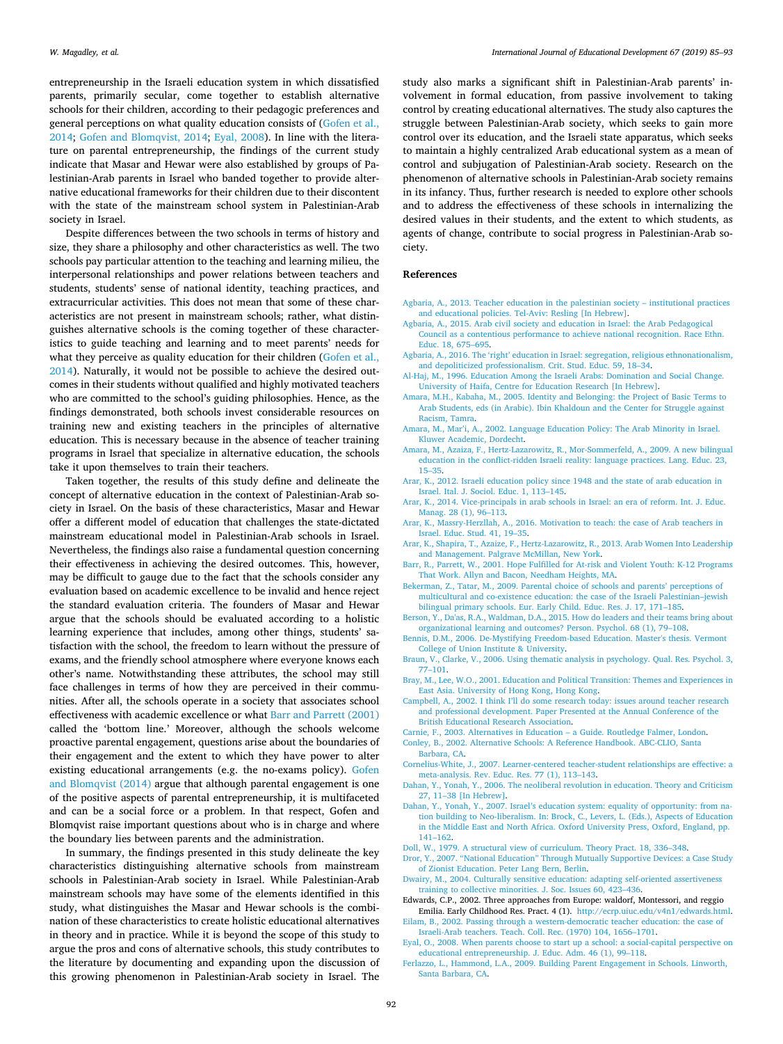entrepreneurship in the Israeli education system in which dissatisfied parents, primarily secular, come together to establish alternative schools for their children, according to their pedagogic preferences and general perceptions on what quality education consists of ([Gofen et al.,](#page-8-12) [2014;](#page-8-12) [Gofen and Blomqvist, 2014](#page-8-13); [Eyal, 2008](#page-7-10)). In line with the literature on parental entrepreneurship, the findings of the current study indicate that Masar and Hewar were also established by groups of Palestinian-Arab parents in Israel who banded together to provide alternative educational frameworks for their children due to their discontent with the state of the mainstream school system in Palestinian-Arab society in Israel.

Despite differences between the two schools in terms of history and size, they share a philosophy and other characteristics as well. The two schools pay particular attention to the teaching and learning milieu, the interpersonal relationships and power relations between teachers and students, students' sense of national identity, teaching practices, and extracurricular activities. This does not mean that some of these characteristics are not present in mainstream schools; rather, what distinguishes alternative schools is the coming together of these characteristics to guide teaching and learning and to meet parents' needs for what they perceive as quality education for their children ([Gofen et al.,](#page-8-12) [2014\)](#page-8-12). Naturally, it would not be possible to achieve the desired outcomes in their students without qualified and highly motivated teachers who are committed to the school's guiding philosophies. Hence, as the findings demonstrated, both schools invest considerable resources on training new and existing teachers in the principles of alternative education. This is necessary because in the absence of teacher training programs in Israel that specialize in alternative education, the schools take it upon themselves to train their teachers.

Taken together, the results of this study define and delineate the concept of alternative education in the context of Palestinian-Arab society in Israel. On the basis of these characteristics, Masar and Hewar offer a different model of education that challenges the state-dictated mainstream educational model in Palestinian-Arab schools in Israel. Nevertheless, the findings also raise a fundamental question concerning their effectiveness in achieving the desired outcomes. This, however, may be difficult to gauge due to the fact that the schools consider any evaluation based on academic excellence to be invalid and hence reject the standard evaluation criteria. The founders of Masar and Hewar argue that the schools should be evaluated according to a holistic learning experience that includes, among other things, students' satisfaction with the school, the freedom to learn without the pressure of exams, and the friendly school atmosphere where everyone knows each other's name. Notwithstanding these attributes, the school may still face challenges in terms of how they are perceived in their communities. After all, the schools operate in a society that associates school effectiveness with academic excellence or what [Barr and Parrett \(2001\)](#page-7-29) called the 'bottom line.' Moreover, although the schools welcome proactive parental engagement, questions arise about the boundaries of their engagement and the extent to which they have power to alter existing educational arrangements (e.g. the no-exams policy). [Gofen](#page-8-13) [and Blomqvist \(2014\)](#page-8-13) argue that although parental engagement is one of the positive aspects of parental entrepreneurship, it is multifaceted and can be a social force or a problem. In that respect, Gofen and Blomqvist raise important questions about who is in charge and where the boundary lies between parents and the administration.

In summary, the findings presented in this study delineate the key characteristics distinguishing alternative schools from mainstream schools in Palestinian-Arab society in Israel. While Palestinian-Arab mainstream schools may have some of the elements identified in this study, what distinguishes the Masar and Hewar schools is the combination of these characteristics to create holistic educational alternatives in theory and in practice. While it is beyond the scope of this study to argue the pros and cons of alternative schools, this study contributes to the literature by documenting and expanding upon the discussion of this growing phenomenon in Palestinian-Arab society in Israel. The

study also marks a significant shift in Palestinian-Arab parents' involvement in formal education, from passive involvement to taking control by creating educational alternatives. The study also captures the struggle between Palestinian-Arab society, which seeks to gain more control over its education, and the Israeli state apparatus, which seeks to maintain a highly centralized Arab educational system as a mean of control and subjugation of Palestinian-Arab society. Research on the phenomenon of alternative schools in Palestinian-Arab society remains in its infancy. Thus, further research is needed to explore other schools and to address the effectiveness of these schools in internalizing the desired values in their students, and the extent to which students, as agents of change, contribute to social progress in Palestinian-Arab society.

# **References**

- <span id="page-7-26"></span>[Agbaria, A., 2013. Teacher education in the palestinian society – institutional practices](http://refhub.elsevier.com/S0738-0593(18)30789-2/sbref0005) [and educational policies. Tel-Aviv: Resling \[In Hebrew\]](http://refhub.elsevier.com/S0738-0593(18)30789-2/sbref0005).
- <span id="page-7-2"></span>[Agbaria, A., 2015. Arab civil society and education in Israel: the Arab Pedagogical](http://refhub.elsevier.com/S0738-0593(18)30789-2/sbref0010) [Council as a contentious performance to achieve national recognition. Race Ethn.](http://refhub.elsevier.com/S0738-0593(18)30789-2/sbref0010) [Educ. 18, 675–695](http://refhub.elsevier.com/S0738-0593(18)30789-2/sbref0010).
- <span id="page-7-14"></span>[Agbaria, A., 2016. The 'right' education in Israel: segregation, religious ethnonationalism,](http://refhub.elsevier.com/S0738-0593(18)30789-2/sbref0015) [and depoliticized professionalism. Crit. Stud. Educ. 59, 18–34.](http://refhub.elsevier.com/S0738-0593(18)30789-2/sbref0015)
- <span id="page-7-1"></span>[Al-Haj, M., 1996. Education Among the Israeli Arabs: Domination and Social Change.](http://refhub.elsevier.com/S0738-0593(18)30789-2/sbref0020) [University of Haifa, Centre for Education Research \[In Hebrew\].](http://refhub.elsevier.com/S0738-0593(18)30789-2/sbref0020)
- <span id="page-7-20"></span>[Amara, M.H., Kabaha, M., 2005. Identity and Belonging: the Project of Basic Terms to](http://refhub.elsevier.com/S0738-0593(18)30789-2/sbref0025) [Arab Students, eds \(in Arabic\). Ibin Khaldoun and the Center for Struggle against](http://refhub.elsevier.com/S0738-0593(18)30789-2/sbref0025) [Racism, Tamra.](http://refhub.elsevier.com/S0738-0593(18)30789-2/sbref0025)
- <span id="page-7-3"></span>[Amara, M., Mar'i, A., 2002. Language Education Policy: The Arab Minority in Israel.](http://refhub.elsevier.com/S0738-0593(18)30789-2/sbref0030) [Kluwer Academic, Dordecht](http://refhub.elsevier.com/S0738-0593(18)30789-2/sbref0030).
- <span id="page-7-4"></span>[Amara, M., Azaiza, F., Hertz-Lazarowitz, R., Mor-Sommerfeld, A., 2009. A new bilingual](http://refhub.elsevier.com/S0738-0593(18)30789-2/sbref0035) [education in the conflict-ridden Israeli reality: language practices. Lang. Educ. 23,](http://refhub.elsevier.com/S0738-0593(18)30789-2/sbref0035) [15–35](http://refhub.elsevier.com/S0738-0593(18)30789-2/sbref0035).
- <span id="page-7-15"></span>[Arar, K., 2012. Israeli education policy since 1948 and the state of arab education in](http://refhub.elsevier.com/S0738-0593(18)30789-2/sbref0040) [Israel. Ital. J. Sociol. Educ. 1, 113–145](http://refhub.elsevier.com/S0738-0593(18)30789-2/sbref0040).
- <span id="page-7-24"></span>[Arar, K., 2014. Vice-principals in arab schools in Israel: an era of reform. Int. J. Educ.](http://refhub.elsevier.com/S0738-0593(18)30789-2/sbref0045) [Manag. 28 \(1\), 96–113](http://refhub.elsevier.com/S0738-0593(18)30789-2/sbref0045).
- <span id="page-7-22"></span>[Arar, K., Massry-Herzllah, A., 2016. Motivation to teach: the case of Arab teachers in](http://refhub.elsevier.com/S0738-0593(18)30789-2/sbref0050) [Israel. Educ. Stud. 41, 19–35.](http://refhub.elsevier.com/S0738-0593(18)30789-2/sbref0050)
- <span id="page-7-27"></span>[Arar, K., Shapira, T., Azaize, F., Hertz-Lazarowitz, R., 2013. Arab Women Into Leadership](http://refhub.elsevier.com/S0738-0593(18)30789-2/sbref0055) [and Management. Palgrave McMillan, New York.](http://refhub.elsevier.com/S0738-0593(18)30789-2/sbref0055)
- <span id="page-7-29"></span>[Barr, R., Parrett, W., 2001. Hope Fulfilled for At-risk and Violent Youth: K-12 Programs](http://refhub.elsevier.com/S0738-0593(18)30789-2/sbref0060) [That Work. Allyn and Bacon, Needham Heights, MA.](http://refhub.elsevier.com/S0738-0593(18)30789-2/sbref0060)
- <span id="page-7-16"></span>[Bekerman, Z., Tatar, M., 2009. Parental choice of schools and parents' perceptions of](http://refhub.elsevier.com/S0738-0593(18)30789-2/sbref0065) [multicultural and co‐existence education: the case of the Israeli Palestinian–jewish](http://refhub.elsevier.com/S0738-0593(18)30789-2/sbref0065) [bilingual primary schools. Eur. Early Child. Educ. Res. J. 17, 171–185.](http://refhub.elsevier.com/S0738-0593(18)30789-2/sbref0065)
- <span id="page-7-25"></span>[Berson, Y., Da'as, R.A., Waldman, D.A., 2015. How do leaders and their teams bring about](http://refhub.elsevier.com/S0738-0593(18)30789-2/sbref0070) [organizational learning and outcomes? Person. Psychol. 68 \(1\), 79–108](http://refhub.elsevier.com/S0738-0593(18)30789-2/sbref0070).
- <span id="page-7-6"></span>[Bennis, D.M., 2006. De-Mystifying Freedom-based Education. Master's thesis. Vermont](http://refhub.elsevier.com/S0738-0593(18)30789-2/sbref0075) [College of Union Institute & University.](http://refhub.elsevier.com/S0738-0593(18)30789-2/sbref0075)
- <span id="page-7-12"></span>[Braun, V., Clarke, V., 2006. Using thematic analysis in psychology. Qual. Res. Psychol. 3,](http://refhub.elsevier.com/S0738-0593(18)30789-2/sbref0080) [77–101.](http://refhub.elsevier.com/S0738-0593(18)30789-2/sbref0080)
- <span id="page-7-0"></span>[Bray, M., Lee, W.O., 2001. Education and Political Transition: Themes and Experiences in](http://refhub.elsevier.com/S0738-0593(18)30789-2/sbref0085) [East Asia. University of Hong Kong, Hong Kong.](http://refhub.elsevier.com/S0738-0593(18)30789-2/sbref0085)
- <span id="page-7-28"></span>[Campbell, A., 2002. I think I'll do some research today: issues around teacher research](http://refhub.elsevier.com/S0738-0593(18)30789-2/sbref0090) [and professional development. Paper Presented at the Annual Conference of the](http://refhub.elsevier.com/S0738-0593(18)30789-2/sbref0090) [British Educational Research Association](http://refhub.elsevier.com/S0738-0593(18)30789-2/sbref0090).
- <span id="page-7-8"></span>[Carnie, F., 2003. Alternatives in Education – a Guide. Routledge Falmer, London](http://refhub.elsevier.com/S0738-0593(18)30789-2/sbref0095).
- <span id="page-7-9"></span>[Conley, B., 2002. Alternative Schools: A Reference Handbook. ABC-CLIO, Santa](http://refhub.elsevier.com/S0738-0593(18)30789-2/sbref0100) [Barbara, CA.](http://refhub.elsevier.com/S0738-0593(18)30789-2/sbref0100)
- <span id="page-7-17"></span>[Cornelius-White, J., 2007. Learner-centered teacher-student relationships are effective: a](http://refhub.elsevier.com/S0738-0593(18)30789-2/sbref0105) [meta-analysis. Rev. Educ. Res. 77 \(1\), 113–143](http://refhub.elsevier.com/S0738-0593(18)30789-2/sbref0105).
- <span id="page-7-13"></span>[Dahan, Y., Yonah, Y., 2006. The neoliberal revolution in education. Theory and Criticism](http://refhub.elsevier.com/S0738-0593(18)30789-2/sbref0110) [27, 11–38 \[In Hebrew\].](http://refhub.elsevier.com/S0738-0593(18)30789-2/sbref0110)
- <span id="page-7-11"></span>[Dahan, Y., Yonah, Y., 2007. Israel's education system: equality of opportunity: from na](http://refhub.elsevier.com/S0738-0593(18)30789-2/sbref0115)[tion building to Neo-liberalism. In: Brock, C., Levers, L. \(Eds.\), Aspects of Education](http://refhub.elsevier.com/S0738-0593(18)30789-2/sbref0115) [in the Middle East and North Africa. Oxford University Press, Oxford, England, pp.](http://refhub.elsevier.com/S0738-0593(18)30789-2/sbref0115) [141–162](http://refhub.elsevier.com/S0738-0593(18)30789-2/sbref0115).
- <span id="page-7-7"></span>[Doll, W., 1979. A structural view of curriculum. Theory Pract. 18, 336–348](http://refhub.elsevier.com/S0738-0593(18)30789-2/sbref0120).
- <span id="page-7-18"></span>[Dror, Y., 2007. "National Education" Through Mutually Supportive Devices: a Case Study](http://refhub.elsevier.com/S0738-0593(18)30789-2/sbref0125) [of Zionist Education. Peter Lang Bern, Berlin](http://refhub.elsevier.com/S0738-0593(18)30789-2/sbref0125).
- <span id="page-7-19"></span>[Dwairy, M., 2004. Culturally sensitive education: adapting self‐oriented assertiveness](http://refhub.elsevier.com/S0738-0593(18)30789-2/sbref0130) [training to collective minorities. J. Soc. Issues 60, 423–436](http://refhub.elsevier.com/S0738-0593(18)30789-2/sbref0130).
- <span id="page-7-5"></span>Edwards, C.P., 2002. Three approaches from Europe: waldorf, Montessori, and reggio Emilia. Early Childhood Res. Pract. 4 (1). [http://ecrp.uiuc.edu/v4n1/edwards.html.](http://ecrp.uiuc.edu/v4n1/edwards.html)
- <span id="page-7-23"></span>[Eilam, B., 2002. Passing through a western-democratic teacher education: the case of](http://refhub.elsevier.com/S0738-0593(18)30789-2/sbref0140) [Israeli-Arab teachers. Teach. Coll. Rec. \(1970\) 104, 1656–1701.](http://refhub.elsevier.com/S0738-0593(18)30789-2/sbref0140)
- <span id="page-7-10"></span>[Eyal, O., 2008. When parents choose to start up a school: a social‐capital perspective on](http://refhub.elsevier.com/S0738-0593(18)30789-2/sbref0145) [educational entrepreneurship. J. Educ. Adm. 46 \(1\), 99–118.](http://refhub.elsevier.com/S0738-0593(18)30789-2/sbref0145)
- <span id="page-7-21"></span>[Ferlazzo, L., Hammond, L.A., 2009. Building Parent Engagement in Schools. Linworth,](http://refhub.elsevier.com/S0738-0593(18)30789-2/sbref0150) [Santa Barbara, CA.](http://refhub.elsevier.com/S0738-0593(18)30789-2/sbref0150)